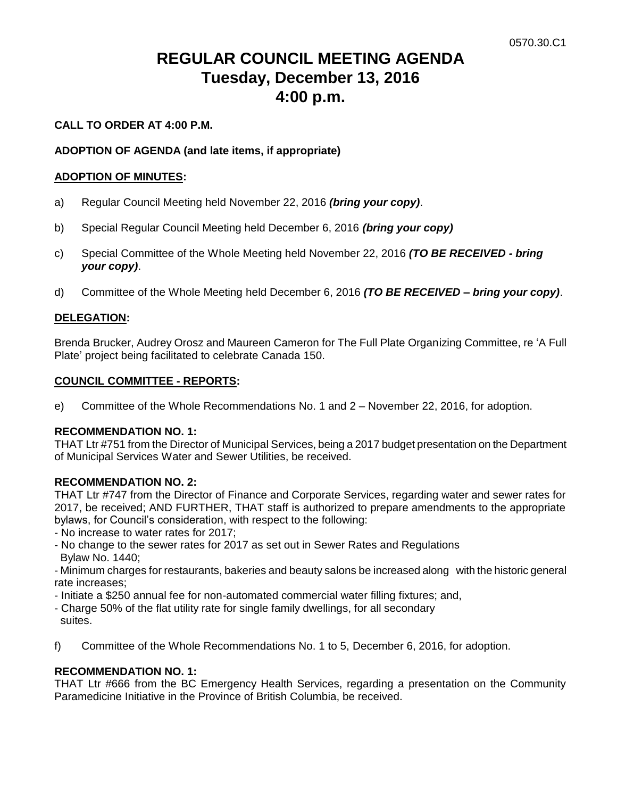# **REGULAR COUNCIL MEETING AGENDA Tuesday, December 13, 2016 4:00 p.m.**

# **CALL TO ORDER AT 4:00 P.M.**

# **ADOPTION OF AGENDA (and late items, if appropriate)**

# **ADOPTION OF MINUTES:**

- a) Regular Council Meeting held November 22, 2016 *(bring your copy)*.
- b) Special Regular Council Meeting held December 6, 2016 *(bring your copy)*
- c) Special Committee of the Whole Meeting held November 22, 2016 *(TO BE RECEIVED - bring your copy)*.
- d) Committee of the Whole Meeting held December 6, 2016 *(TO BE RECEIVED – bring your copy)*.

# **DELEGATION:**

Brenda Brucker, Audrey Orosz and Maureen Cameron for The Full Plate Organizing Committee, re 'A Full Plate' project being facilitated to celebrate Canada 150.

## **COUNCIL COMMITTEE - REPORTS:**

e) Committee of the Whole Recommendations No. 1 and 2 – November 22, 2016, for adoption.

# **RECOMMENDATION NO. 1:**

THAT Ltr #751 from the Director of Municipal Services, being a 2017 budget presentation on the Department of Municipal Services Water and Sewer Utilities, be received.

## **RECOMMENDATION NO. 2:**

THAT Ltr #747 from the Director of Finance and Corporate Services, regarding water and sewer rates for 2017, be received; AND FURTHER, THAT staff is authorized to prepare amendments to the appropriate bylaws, for Council's consideration, with respect to the following:

- No increase to water rates for 2017;
- No change to the sewer rates for 2017 as set out in Sewer Rates and Regulations Bylaw No. 1440;

- Minimum charges for restaurants, bakeries and beauty salons be increased along with the historic general rate increases;

- Initiate a \$250 annual fee for non-automated commercial water filling fixtures; and,
- Charge 50% of the flat utility rate for single family dwellings, for all secondary suites.
- f) Committee of the Whole Recommendations No. 1 to 5, December 6, 2016, for adoption.

# **RECOMMENDATION NO. 1:**

THAT Ltr #666 from the BC Emergency Health Services, regarding a presentation on the Community Paramedicine Initiative in the Province of British Columbia, be received.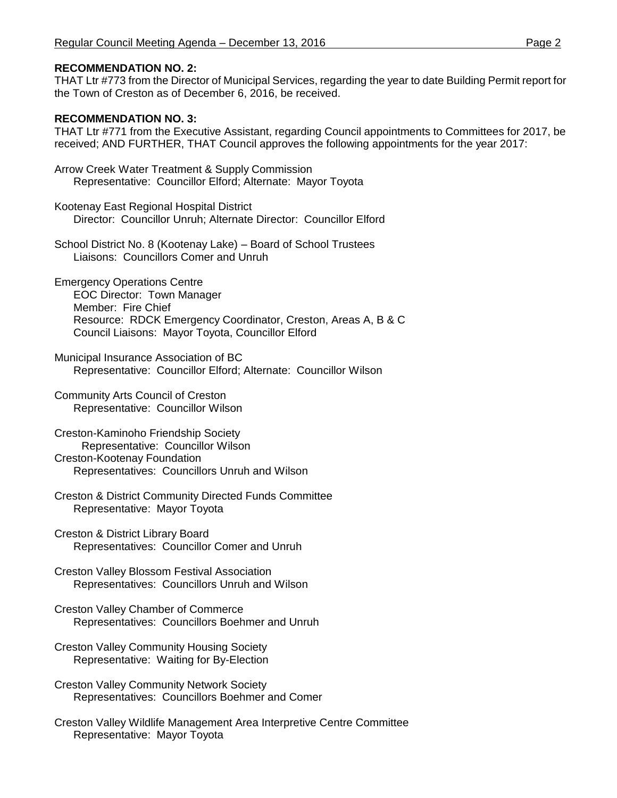# **RECOMMENDATION NO. 2:**

THAT Ltr #773 from the Director of Municipal Services, regarding the year to date Building Permit report for the Town of Creston as of December 6, 2016, be received.

## **RECOMMENDATION NO. 3:**

THAT Ltr #771 from the Executive Assistant, regarding Council appointments to Committees for 2017, be received; AND FURTHER, THAT Council approves the following appointments for the year 2017:

- Arrow Creek Water Treatment & Supply Commission Representative: Councillor Elford; Alternate: Mayor Toyota
- Kootenay East Regional Hospital District Director: Councillor Unruh; Alternate Director: Councillor Elford
- School District No. 8 (Kootenay Lake) Board of School Trustees Liaisons: Councillors Comer and Unruh
- Emergency Operations Centre EOC Director: Town Manager Member: Fire Chief Resource: RDCK Emergency Coordinator, Creston, Areas A, B & C Council Liaisons: Mayor Toyota, Councillor Elford
- Municipal Insurance Association of BC Representative: Councillor Elford; Alternate: Councillor Wilson
- Community Arts Council of Creston Representative: Councillor Wilson
- Creston-Kaminoho Friendship Society Representative: Councillor Wilson Creston-Kootenay Foundation Representatives: Councillors Unruh and Wilson
- Creston & District Community Directed Funds Committee Representative: Mayor Toyota
- Creston & District Library Board Representatives: Councillor Comer and Unruh
- Creston Valley Blossom Festival Association Representatives: Councillors Unruh and Wilson
- Creston Valley Chamber of Commerce Representatives: Councillors Boehmer and Unruh
- Creston Valley Community Housing Society Representative: Waiting for By-Election
- Creston Valley Community Network Society Representatives: Councillors Boehmer and Comer
- Creston Valley Wildlife Management Area Interpretive Centre Committee Representative: Mayor Toyota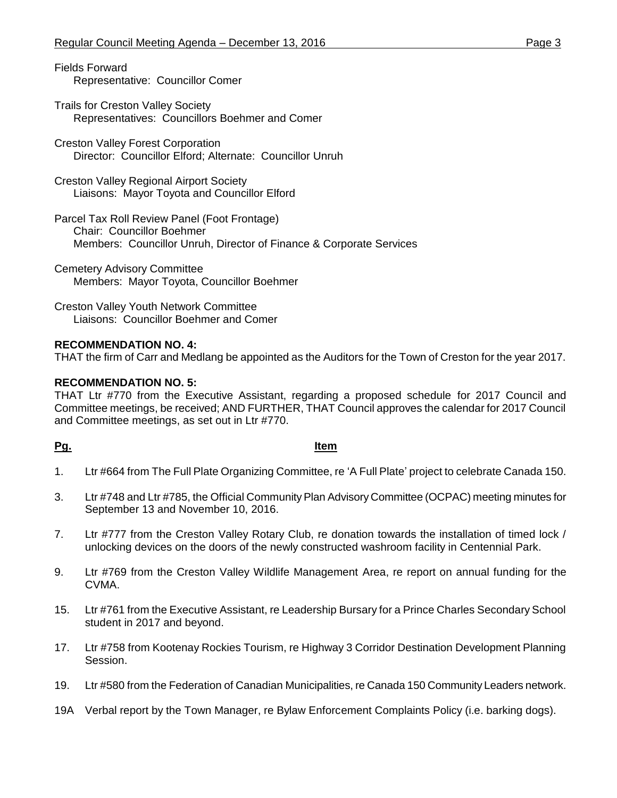Fields Forward Representative: Councillor Comer

- Trails for Creston Valley Society Representatives: Councillors Boehmer and Comer
- Creston Valley Forest Corporation Director: Councillor Elford; Alternate: Councillor Unruh
- Creston Valley Regional Airport Society Liaisons: Mayor Toyota and Councillor Elford
- Parcel Tax Roll Review Panel (Foot Frontage) Chair: Councillor Boehmer Members: Councillor Unruh, Director of Finance & Corporate Services
- Cemetery Advisory Committee Members: Mayor Toyota, Councillor Boehmer
- Creston Valley Youth Network Committee Liaisons: Councillor Boehmer and Comer

# **RECOMMENDATION NO. 4:**

THAT the firm of Carr and Medlang be appointed as the Auditors for the Town of Creston for the year 2017.

# **RECOMMENDATION NO. 5:**

THAT Ltr #770 from the Executive Assistant, regarding a proposed schedule for 2017 Council and Committee meetings, be received; AND FURTHER, THAT Council approves the calendar for 2017 Council and Committee meetings, as set out in Ltr #770.

# **Pg. Item**

- 1. Ltr #664 from The Full Plate Organizing Committee, re 'A Full Plate' project to celebrate Canada 150.
- 3. Ltr #748 and Ltr #785, the Official Community Plan Advisory Committee (OCPAC) meeting minutes for September 13 and November 10, 2016.
- 7. Ltr #777 from the Creston Valley Rotary Club, re donation towards the installation of timed lock / unlocking devices on the doors of the newly constructed washroom facility in Centennial Park.
- 9. Ltr #769 from the Creston Valley Wildlife Management Area, re report on annual funding for the CVMA.
- 15. Ltr #761 from the Executive Assistant, re Leadership Bursary for a Prince Charles Secondary School student in 2017 and beyond.
- 17. Ltr #758 from Kootenay Rockies Tourism, re Highway 3 Corridor Destination Development Planning Session.
- 19. Ltr #580 from the Federation of Canadian Municipalities, re Canada 150 Community Leaders network.
- 19A Verbal report by the Town Manager, re Bylaw Enforcement Complaints Policy (i.e. barking dogs).